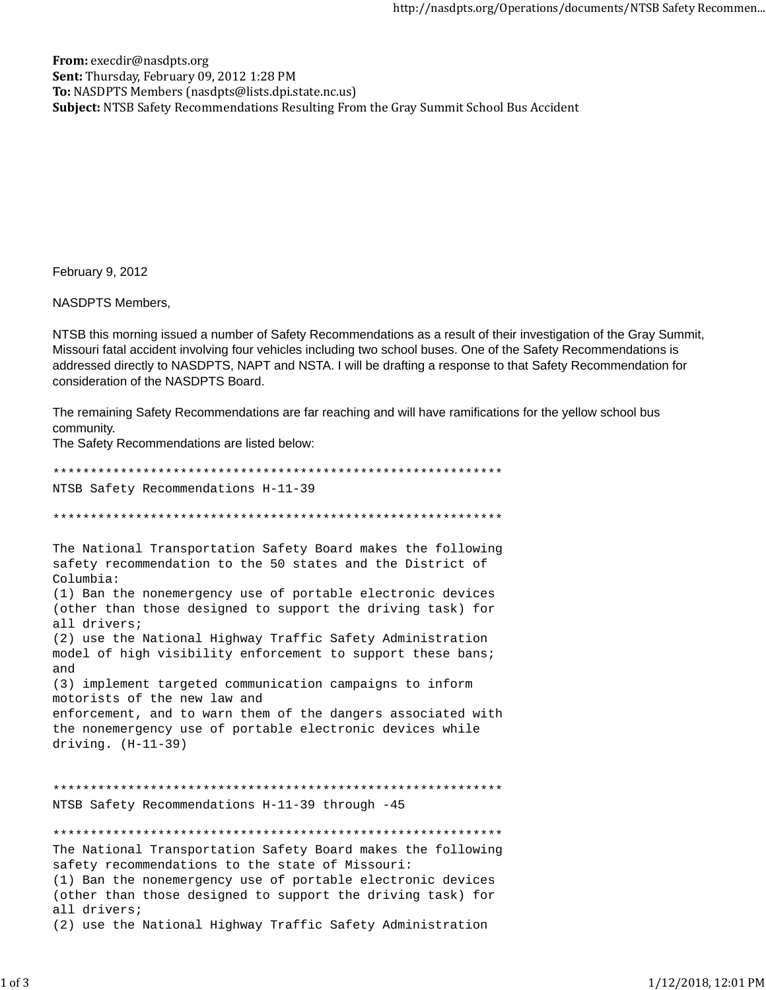From: execdir@nasdpts.org Sent: Thursday, February 09, 2012 1:28 PM To: NASDPTS Members (nasdpts@lists.dpi.state.nc.us) Subject: NTSB Safety Recommendations Resulting From the Gray Summit School Bus Accident

February 9, 2012

**NASDPTS Members,** 

NTSB this morning issued a number of Safety Recommendations as a result of their investigation of the Gray Summit, Missouri fatal accident involving four vehicles including two school buses. One of the Safety Recommendations is addressed directly to NASDPTS, NAPT and NSTA. I will be drafting a response to that Safety Recommendation for consideration of the NASDPTS Board.

The remaining Safety Recommendations are far reaching and will have ramifications for the yellow school bus community.

The Safety Recommendations are listed below:

NTSB Safety Recommendations H-11-39 The National Transportation Safety Board makes the following safety recommendation to the 50 states and the District of Columbia: (1) Ban the nonemergency use of portable electronic devices (other than those designed to support the driving task) for all drivers; (2) use the National Highway Traffic Safety Administration model of high visibility enforcement to support these bans; and (3) implement targeted communication campaigns to inform motorists of the new law and enforcement, and to warn them of the dangers associated with the nonemergency use of portable electronic devices while driving.  $(H-11-39)$ NTSB Safety Recommendations H-11-39 through -45 The National Transportation Safety Board makes the following safety recommendations to the state of Missouri: (1) Ban the nonemergency use of portable electronic devices (other than those designed to support the driving task) for all drivers; (2) use the National Highway Traffic Safety Administration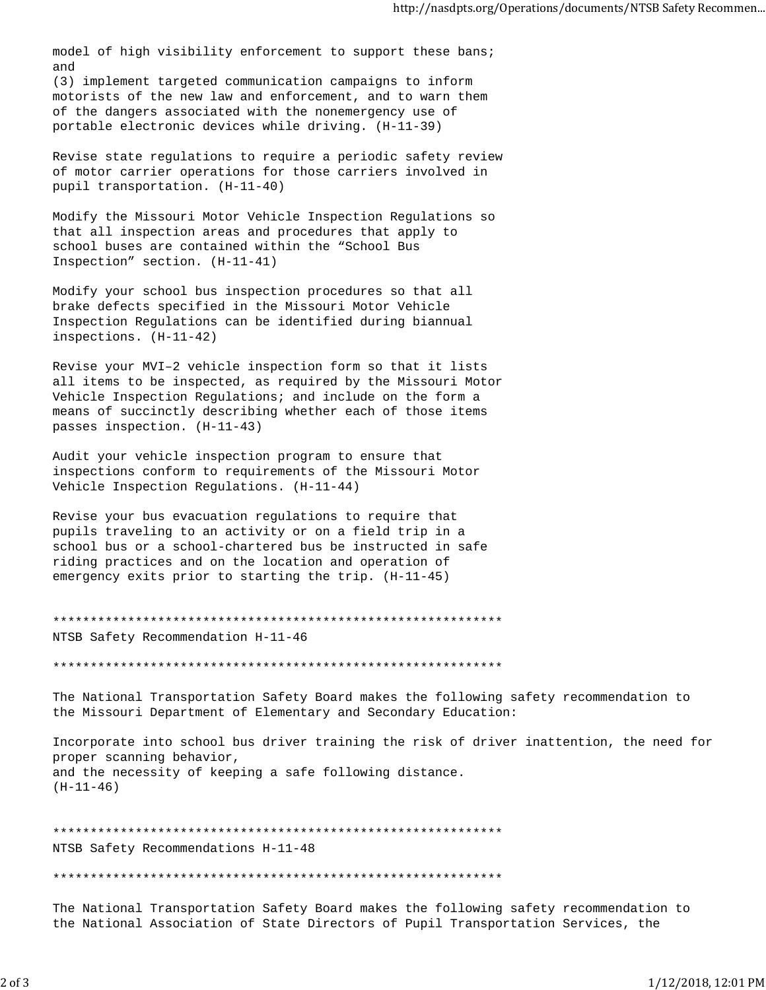model of high visibility enforcement to support these bans; and

(3) implement targeted communication campaigns to inform motorists of the new law and enforcement, and to warn them of the dangers associated with the nonemergency use of portable electronic devices while driving. (H-11-39)

Revise state regulations to require a periodic safety review of motor carrier operations for those carriers involved in pupil transportation. (H-11-40)

Modify the Missouri Motor Vehicle Inspection Regulations so that all inspection areas and procedures that apply to school buses are contained within the "School Bus Inspection" section. (H-11-41)

Modify your school bus inspection procedures so that all brake defects specified in the Missouri Motor Vehicle Inspection Regulations can be identified during biannual inspections. (H-11-42)

Revise your MVI–2 vehicle inspection form so that it lists all items to be inspected, as required by the Missouri Motor Vehicle Inspection Regulations; and include on the form a means of succinctly describing whether each of those items passes inspection. (H-11-43)

Audit your vehicle inspection program to ensure that inspections conform to requirements of the Missouri Motor Vehicle Inspection Regulations. (H-11-44)

Revise your bus evacuation regulations to require that pupils traveling to an activity or on a field trip in a school bus or a school-chartered bus be instructed in safe riding practices and on the location and operation of emergency exits prior to starting the trip. (H-11-45)

\*\*\*\*\*\*\*\*\*\*\*\*\*\*\*\*\*\*\*\*\*\*\*\*\*\*\*\*\*\*\*\*\*\*\*\*\*\*\*\*\*\*\*\*\*\*\*\*\*\*\*\*\*\*\*\*\*\*\*\* NTSB Safety Recommendation H-11-46

\*\*\*\*\*\*\*\*\*\*\*\*\*\*\*\*\*\*\*\*\*\*\*\*\*\*\*\*\*\*\*\*\*\*\*\*\*\*\*\*\*\*\*\*\*\*\*\*\*\*\*\*\*\*\*\*\*\*\*\*

The National Transportation Safety Board makes the following safety recommendation to the Missouri Department of Elementary and Secondary Education:

Incorporate into school bus driver training the risk of driver inattention, the need for proper scanning behavior, and the necessity of keeping a safe following distance. (H-11-46)

\*\*\*\*\*\*\*\*\*\*\*\*\*\*\*\*\*\*\*\*\*\*\*\*\*\*\*\*\*\*\*\*\*\*\*\*\*\*\*\*\*\*\*\*\*\*\*\*\*\*\*\*\*\*\*\*\*\*\*\* NTSB Safety Recommendations H-11-48 \*\*\*\*\*\*\*\*\*\*\*\*\*\*\*\*\*\*\*\*\*\*\*\*\*\*\*\*\*\*\*\*\*\*\*\*\*\*\*\*\*\*\*\*\*\*\*\*\*\*\*\*\*\*\*\*\*\*\*\*

The National Transportation Safety Board makes the following safety recommendation to the National Association of State Directors of Pupil Transportation Services, the